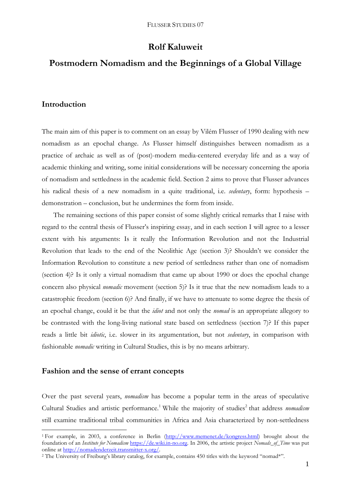# **Rolf Kaluweit**

# **Postmodern Nomadism and the Beginnings of a Global Village**

# **Introduction**

The main aim of this paper is to comment on an essay by Vilém Flusser of 1990 dealing with new nomadism as an epochal change. As Flusser himself distinguishes between nomadism as a practice of archaic as well as of (post)-modern media-centered everyday life and as a way of academic thinking and writing, some initial considerations will be necessary concerning the aporia of nomadism and settledness in the academic field. Section 2 aims to prove that Flusser advances his radical thesis of a new nomadism in a quite traditional, i.e. *sedentary*, form: hypothesis – demonstration – conclusion, but he undermines the form from inside.

The remaining sections of this paper consist of some slightly critical remarks that I raise with regard to the central thesis of Flusser's inspiring essay, and in each section I will agree to a lesser extent with his arguments: Is it really the Information Revolution and not the Industrial Revolution that leads to the end of the Neolithic Age (section 3)? Shouldn't we consider the Information Revolution to constitute a new period of settledness rather than one of nomadism (section 4)? Is it only a virtual nomadism that came up about 1990 or does the epochal change concern also physical *nomadic* movement (section 5)? Is it true that the new nomadism leads to a catastrophic freedom (section 6)? And finally, if we have to attenuate to some degree the thesis of an epochal change, could it be that the *idiot* and not only the *nomad* is an appropriate allegory to be contrasted with the long-living national state based on settledness (section 7)? If this paper reads a little bit *idiotic*, i.e. slower in its argumentation, but not *sedentary*, in comparison with fashionable *nomadic* writing in Cultural Studies, this is by no means arbitrary.

# **Fashion and the sense of errant concepts**

1

Over the past several years, *nomadism* has become a popular term in the areas of speculative Cultural Studies and artistic performance.<sup>1</sup> While the majority of studies<sup>2</sup> that address *nomadism* still examine traditional tribal communities in Africa and Asia characterized by non-settledness

<sup>&</sup>lt;sup>1</sup> For example, in 2003, a conference in Berlin (http://www.memenet.de/kongress.html) brought about the foundation of an *Institute for Nomadism* https://de.wiki.in-no.org. In 2006, the artistic project *Nomads\_of\_Time* was put online at http://nomadenderzeit.transmitter-x.org/.

<sup>&</sup>lt;sup>2</sup> The University of Freiburg's library catalog, for example, contains 450 titles with the keyword "nomad\*".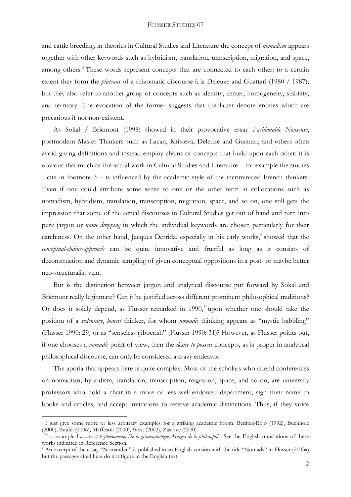and cattle breeding, in theories in Cultural Studies and Literature the concept of *nomadism* appears together with other keywords such as hybridism, translation, transcription, migration, and space, among others.<sup>3</sup> These words represent concepts that are connected to each other: to a certain extent they form the *plateaus* of a rhizomatic discourse à la Deleuze and Guattari (1980 / 1987); but they also refer to another group of concepts such as identity, center, homogeneity, stability, and territory. The evocation of the former suggests that the latter denote entities which are precarious if not non-existent.

As Sokal / Bricmont (1998) showed in their provocative essay *Fashionable Nonsense*, postmodern Master Thinkers such as Lacan, Kristeva, Deleuze and Guattari, and others often avoid giving definitions and instead employ chains of concepts that build upon each other: it is obvious that much of the actual work in Cultural Studies and Literature – for example the studies I cite in footnote 3 – is influenced by the academic style of the incriminated French thinkers. Even if one could attribute some sense to one or the other term in collocations such as nomadism, hybridism, translation, transcription, migration, space, and so on, one still gets the impression that some of the actual discourses in Cultural Studies get out of hand and turn into pure jargon or *name dropping* in which the individual keywords are chosen particularly for their catchiness. On the other hand, Jacques Derrida, especially in his early works,<sup>4</sup> showed that the *conceptual-chains-approach* can be quite innovative and fruitful as long as it consists of deconstruction and dynamic sampling of given conceptual oppositions in a post- or maybe better neo-structuralist vein.

But is the distinction between jargon and analytical discourse put forward by Sokal and Bricmont really legitimate? Can it be justified across different prominent philosophical traditions? Or does it solely depend, as Flusser remarked in  $1990$ ,<sup>5</sup> upon whether one should take the position of a *sedentary*, *honest* thinker, for whom *nomadic* thinking appears as "mystic babbling" (Flusser 1990: 29) or as "senseless gibberish" (Flusser 1990: 31)? However, as Flusser points out, if one chooses a *nomadic* point of view, then the *desire to possess* concepts, as is proper in analytical philosophical discourse, can only be considered a crazy endeavor.

The aporia that appears here is quite complex: Most of the scholars who attend conferences on nomadism, hybridism, translation, transcription, migration, space, and so on, are university professors who hold a chair in a more or less well-endowed department, sign their name to books and articles, and accept invitations to receive academic distinctions. Thus, if they voice

<sup>&</sup>lt;sup>3</sup> I just give some more or less arbitrary examples for a striking academic boom: Benítez-Rojo (1992), Buchholz (2000), Bujdei (2000), Maffesoli (2000), West (2002), Zaslove (2000).

<sup>&</sup>lt;sup>4</sup> For example *La voix et le phénomène*, De la grammatologie, Marges de la philosophie. See the English translations of these works indicated in Reference Section.

<sup>&</sup>lt;sup>5</sup> An excerpt of the essay "Nomanden" is published in an English version with the title "Nomads" in Flusser (2003a), but the passages cited here do not figure in the English text.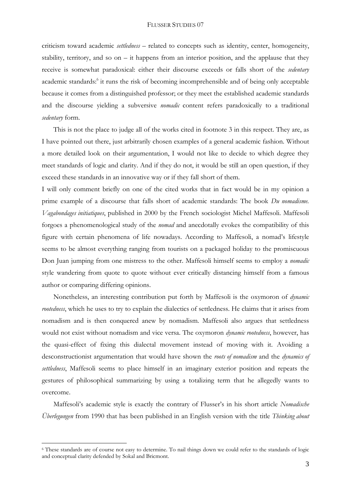criticism toward academic *settledness* – related to concepts such as identity, center, homogeneity, stability, territory, and so on – it happens from an interior position, and the applause that they receive is somewhat paradoxical: either their discourse exceeds or falls short of the *sedentary* academic standards:<sup>6</sup> it runs the risk of becoming incomprehensible and of being only acceptable because it comes from a distinguished professor; or they meet the established academic standards and the discourse yielding a subversive *nomadic* content refers paradoxically to a traditional *sedentary* form.

This is not the place to judge all of the works cited in footnote 3 in this respect. They are, as I have pointed out there, just arbitrarily chosen examples of a general academic fashion. Without a more detailed look on their argumentation, I would not like to decide to which degree they meet standards of logic and clarity. And if they do not, it would be still an open question, if they exceed these standards in an innovative way or if they fall short of them.

I will only comment briefly on one of the cited works that in fact would be in my opinion a prime example of a discourse that falls short of academic standards: The book *Du nomadisme. Vagabondages initiatiques*, published in 2000 by the French sociologist Michel Maffesoli. Maffesoli forgoes a phenomenological study of the *nomad* and anecdotally evokes the compatibility of this figure with certain phenomena of life nowadays. According to Maffesoli, a nomad's lifestyle seems to be almost everything ranging from tourists on a packaged holiday to the promiscuous Don Juan jumping from one mistress to the other. Maffesoli himself seems to employ a *nomadic* style wandering from quote to quote without ever critically distancing himself from a famous author or comparing differing opinions.

Nonetheless, an interesting contribution put forth by Maffesoli is the oxymoron of *dynamic rootedness*, which he uses to try to explain the dialectics of settledness. He claims that it arises from nomadism and is then conquered anew by nomadism. Maffesoli also argues that settledness would not exist without nomadism and vice versa. The oxymoron *dynamic rootedness*, however, has the quasi-effect of fixing this dialectal movement instead of moving with it. Avoiding a desconstructionist argumentation that would have shown the *roots of nomadism* and the *dynamics of settledness*, Maffesoli seems to place himself in an imaginary exterior position and repeats the gestures of philosophical summarizing by using a totalizing term that he allegedly wants to overcome.

Maffesoli's academic style is exactly the contrary of Flusser's in his short article *Nomadische Überlegungen* from 1990 that has been published in an English version with the title *Thinking about* 

<sup>6</sup> These standards are of course not easy to determine. To nail things down we could refer to the standards of logic and conceptual clarity defended by Sokal and Bricmont.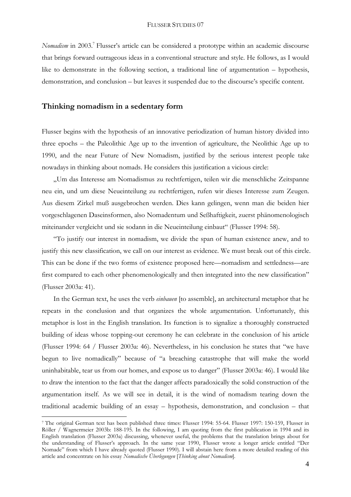*Nomadism* in 2003.<sup>7</sup> Flusser's article can be considered a prototype within an academic discourse that brings forward outrageous ideas in a conventional structure and style. He follows, as I would like to demonstrate in the following section, a traditional line of argumentation – hypothesis, demonstration, and conclusion – but leaves it suspended due to the discourse's specific content.

# **Thinking nomadism in a sedentary form**

1

Flusser begins with the hypothesis of an innovative periodization of human history divided into three epochs – the Paleolithic Age up to the invention of agriculture, the Neolithic Age up to 1990, and the near Future of New Nomadism, justified by the serious interest people take nowadays in thinking about nomads. He considers this justification a vicious circle:

"Um das Interesse am Nomadismus zu rechtfertigen, teilen wir die menschliche Zeitspanne neu ein, und um diese Neueinteilung zu rechtfertigen, rufen wir dieses Interesse zum Zeugen. Aus diesem Zirkel muß ausgebrochen werden. Dies kann gelingen, wenn man die beiden hier vorgeschlagenen Daseinsformen, also Nomadentum und Seßhaftigkeit, zuerst phänomenologisch miteinander vergleicht und sie sodann in die Neueinteilung einbaut" (Flusser 1994: 58).

"To justify our interest in nomadism, we divide the span of human existence anew, and to justify this new classification, we call on our interest as evidence. We must break out of this circle. This can be done if the two forms of existence proposed here—nomadism and settledness—are first compared to each other phenomenologically and then integrated into the new classification" (Flusser 2003a: 41).

In the German text, he uses the verb *einbauen* [to assemble], an architectural metaphor that he repeats in the conclusion and that organizes the whole argumentation. Unfortunately, this metaphor is lost in the English translation. Its function is to signalize a thoroughly constructed building of ideas whose topping-out ceremony he can celebrate in the conclusion of his article (Flusser 1994: 64 / Flusser 2003a: 46). Nevertheless, in his conclusion he states that "we have begun to live nomadically" because of "a breaching catastrophe that will make the world uninhabitable, tear us from our homes, and expose us to danger" (Flusser 2003a: 46). I would like to draw the intention to the fact that the danger affects paradoxically the solid construction of the argumentation itself. As we will see in detail, it is the wind of nomadism tearing down the traditional academic building of an essay – hypothesis, demonstration, and conclusion – that

<sup>7</sup> The original German text has been published three times: Flusser 1994: 55-64. Flusser 1997: 150-159, Flusser in Röller / Wagnermeier 2003b: 188-195. In the following, I am quoting from the first publication in 1994 and its English translation (Flusser 2003a) discussing, whenever useful, the problems that the translation brings about for the understanding of Flusser's approach. In the same year 1990, Flusser wrote a longer article entitled "Der Nomade" from which I have already quoted (Flusser 1990). I will abstain here from a more detailed reading of this article and concentrate on his essay *Nomadische Überlegungen* [*Thinking about Nomadism*].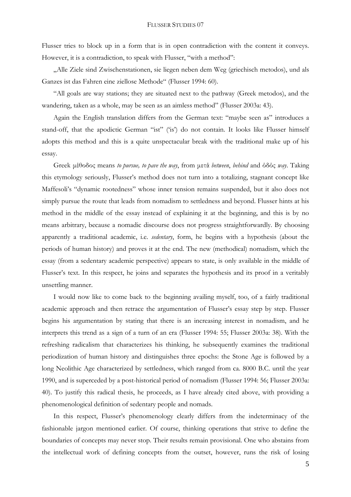Flusser tries to block up in a form that is in open contradiction with the content it conveys. However, it is a contradiction, to speak with Flusser, "with a method":

"Alle Ziele sind Zwischenstationen, sie liegen neben dem Weg (griechisch metodos), und als Ganzes ist das Fahren eine ziellose Methode" (Flusser 1994: 60).

"All goals are way stations; they are situated next to the pathway (Greek metodos), and the wandering, taken as a whole, may be seen as an aimless method" (Flusser 2003a: 43).

Again the English translation differs from the German text: "maybe seen as" introduces a stand-off, that the apodictic German "ist" ('is') do not contain. It looks like Flusser himself adopts this method and this is a quite unspectacular break with the traditional make up of his essay.

Greek μέθοδος means *to pursue, to pave the way*, from μετά *between*, *behind* and όδός *way*. Taking this etymology seriously, Flusser's method does not turn into a totalizing, stagnant concept like Maffesoli's "dynamic rootedness" whose inner tension remains suspended, but it also does not simply pursue the route that leads from nomadism to settledness and beyond. Flusser hints at his method in the middle of the essay instead of explaining it at the beginning, and this is by no means arbitrary, because a nomadic discourse does not progress straightforwardly. By choosing apparently a traditional academic, i.e. *sedentary*, form, he begins with a hypothesis (about the periods of human history) and proves it at the end. The new (methodical) nomadism, which the essay (from a sedentary academic perspective) appears to state, is only available in the middle of Flusser's text. In this respect, he joins and separates the hypothesis and its proof in a veritably unsettling manner.

I would now like to come back to the beginning availing myself, too, of a fairly traditional academic approach and then retrace the argumentation of Flusser's essay step by step. Flusser begins his argumentation by stating that there is an increasing interest in nomadism, and he interprets this trend as a sign of a turn of an era (Flusser 1994: 55; Flusser 2003a: 38). With the refreshing radicalism that characterizes his thinking, he subsequently examines the traditional periodization of human history and distinguishes three epochs: the Stone Age is followed by a long Neolithic Age characterized by settledness, which ranged from ca. 8000 B.C. until the year 1990, and is superceded by a post-historical period of nomadism (Flusser 1994: 56; Flusser 2003a: 40). To justify this radical thesis, he proceeds, as I have already cited above, with providing a phenomenological definition of sedentary people and nomads.

In this respect, Flusser's phenomenology clearly differs from the indeterminacy of the fashionable jargon mentioned earlier. Of course, thinking operations that strive to define the boundaries of concepts may never stop. Their results remain provisional. One who abstains from the intellectual work of defining concepts from the outset, however, runs the risk of losing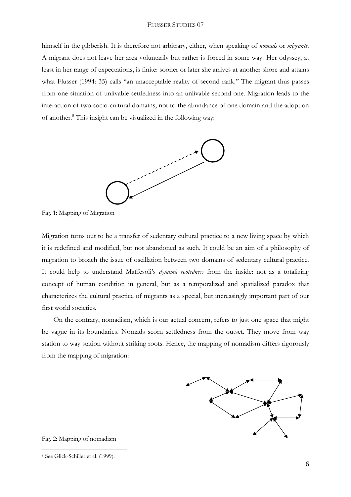himself in the gibberish. It is therefore not arbitrary, either, when speaking of *nomads* or *migrants*. A migrant does not leave her area voluntarily but rather is forced in some way. Her odyssey, at least in her range of expectations, is finite: sooner or later she arrives at another shore and attains what Flusser (1994: 35) calls "an unacceptable reality of second rank." The migrant thus passes from one situation of unlivable settledness into an unlivable second one. Migration leads to the interaction of two socio-cultural domains, not to the abundance of one domain and the adoption of another.<sup>8</sup> This insight can be visualized in the following way:



Fig. 1: Mapping of Migration

Migration turns out to be a transfer of sedentary cultural practice to a new living space by which it is redefined and modified, but not abandoned as such. It could be an aim of a philosophy of migration to broach the issue of oscillation between two domains of sedentary cultural practice. It could help to understand Maffesoli's *dynamic rootedness* from the inside: not as a totalizing concept of human condition in general, but as a temporalized and spatialized paradox that characterizes the cultural practice of migrants as a special, but increasingly important part of our first world societies.

On the contrary, nomadism, which is our actual concern, refers to just one space that might be vague in its boundaries. Nomads scorn settledness from the outset. They move from way station to way station without striking roots. Hence, the mapping of nomadism differs rigorously from the mapping of migration:



Fig. 2: Mapping of nomadism

<sup>8</sup> See Glick-Schiller et al. (1999).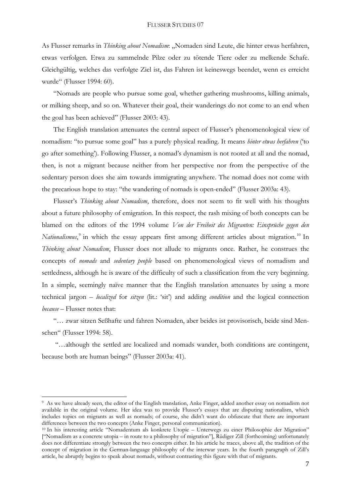As Flusser remarks in *Thinking about Nomadism*: "Nomaden sind Leute, die hinter etwas herfahren, etwas verfolgen. Etwa zu sammelnde Pilze oder zu tötende Tiere oder zu melkende Schafe. Gleichgültig, welches das verfolgte Ziel ist, das Fahren ist keineswegs beendet, wenn es erreicht wurde" (Flusser 1994: 60).

"Nomads are people who pursue some goal, whether gathering mushrooms, killing animals, or milking sheep, and so on. Whatever their goal, their wanderings do not come to an end when the goal has been achieved" (Flusser 2003: 43).

The English translation attenuates the central aspect of Flusser's phenomenological view of nomadism: "to pursue some goal" has a purely physical reading. It means *hinter etwas herfahren* ('to go after something'). Following Flusser, a nomad's dynamism is not rooted at all and the nomad, then, is not a migrant because neither from her perspective nor from the perspective of the sedentary person does she aim towards immigrating anywhere. The nomad does not come with the precarious hope to stay: "the wandering of nomads is open-ended" (Flusser 2003a: 43).

Flusser's *Thinking about Nomadism*, therefore, does not seem to fit well with his thoughts about a future philosophy of emigration. In this respect, the rash mixing of both concepts can be blamed on the editors of the 1994 volume *Von der Freiheit des Migranten: Einsprüche gegen den*  Nationalismus,<sup>9</sup> in which the essay appears first among different articles about migration.<sup>10</sup> In *Thinking about Nomadism*, Flusser does not allude to migrants once. Rather, he construes the concepts of *nomads* and *sedentary people* based on phenomenological views of nomadism and settledness, although he is aware of the difficulty of such a classification from the very beginning. In a simple, seemingly naïve manner that the English translation attenuates by using a more technical jargon – *localized* for *sitzen* (lit.: 'sit') and adding *condition* and the logical connection *because* – Flusser notes that:

"… zwar sitzen Seßhafte und fahren Nomaden, aber beides ist provisorisch, beide sind Menschen" (Flusser 1994: 58).

 "…although the settled are localized and nomads wander, both conditions are contingent, because both are human beings" (Flusser 2003a: 41).

<sup>9</sup> As we have already seen, the editor of the English translation, Anke Finger, added another essay on nomadism not available in the original volume. Her idea was to provide Flusser's essays that are disputing nationalism, which includes topics on migrants as well as nomads; of course, she didn't want do obfuscate that there are important

<sup>&</sup>lt;sup>10</sup> In his interesting article "Nomadentum als konkrete Utopie – Unterwegs zu einer Philosophie der Migration" ["Nomadism as a concrete utopia – in route to a philosophy of migration"], Rüdiger Zill (forthcoming) unfortunately does not differentiate strongly between the two concepts either. In his article he traces, above all, the tradition of the concept of migration in the German-language philosophy of the interwar years. In the fourth paragraph of Zill's article, he abruptly begins to speak about nomads, without contrasting this figure with that of migrants.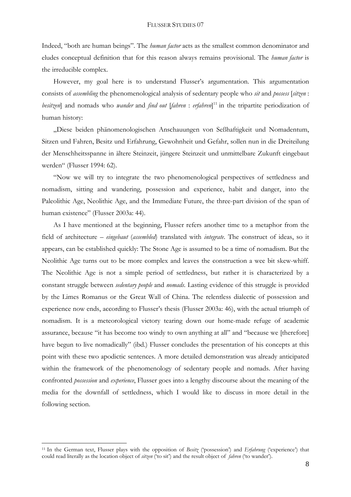Indeed, "both are human beings". The *human factor* acts as the smallest common denominator and eludes conceptual definition that for this reason always remains provisional. The *human factor* is the irreducible complex.

However, my goal here is to understand Flusser's argumentation. This argumentation consists of *assembling* the phenomenological analysis of sedentary people who *sit* and *possess* [*sitzen* : *besitzen*] and nomads who *wander* and *find out* [*fahren* : *erfahren*] 11 in the tripartite periodization of human history:

"Diese beiden phänomenologischen Anschauungen von Seßhaftigkeit und Nomadentum, Sitzen und Fahren, Besitz und Erfahrung, Gewohnheit und Gefahr, sollen nun in die Dreiteilung der Menschheitsspanne in ältere Steinzeit, jüngere Steinzeit und unmittelbare Zukunft eingebaut werden" (Flusser 1994: 62).

"Now we will try to integrate the two phenomenological perspectives of settledness and nomadism, sitting and wandering, possession and experience, habit and danger, into the Paleolithic Age, Neolithic Age, and the Immediate Future, the three-part division of the span of human existence" (Flusser 2003a: 44).

As I have mentioned at the beginning, Flusser refers another time to a metaphor from the field of architecture – *eingebaut* (*assembled*) translated with *integrate*. The construct of ideas, so it appears, can be established quickly: The Stone Age is assumed to be a time of nomadism. But the Neolithic Age turns out to be more complex and leaves the construction a wee bit skew-whiff. The Neolithic Age is not a simple period of settledness, but rather it is characterized by a constant struggle between *sedentary people* and *nomads*. Lasting evidence of this struggle is provided by the Limes Romanus or the Great Wall of China. The relentless dialectic of possession and experience now ends, according to Flusser's thesis (Flusser 2003a: 46), with the actual triumph of nomadism. It is a meteorological victory tearing down our home-made refuge of academic assurance, because "it has become too windy to own anything at all" and "because we [therefore] have begun to live nomadically" (ibd.) Flusser concludes the presentation of his concepts at this point with these two apodictic sentences. A more detailed demonstration was already anticipated within the framework of the phenomenology of sedentary people and nomads. After having confronted *possession* and *experience*, Flusser goes into a lengthy discourse about the meaning of the media for the downfall of settledness, which I would like to discuss in more detail in the following section.

<sup>11</sup> In the German text, Flusser plays with the opposition of *Besitz* ('possession') and *Erfahrung* ('experience') that could read literally as the location object of *sitzen* ('to sit') and the result object of *fahren* ('to wander').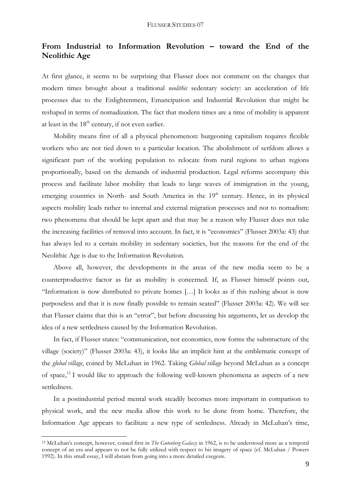# **From Industrial to Information Revolution – toward the End of the Neolithic Age**

At first glance, it seems to be surprising that Flusser does not comment on the changes that modern times brought about a traditional *neolithic* sedentary society: an acceleration of life processes due to the Enlightenment, Emancipation and Industrial Revolution that might be reshaped in terms of nomadization. The fact that modern times are a time of mobility is apparent at least in the  $18<sup>th</sup>$  century, if not even earlier.

Mobility means first of all a physical phenomenon: burgeoning capitalism requires flexible workers who are not tied down to a particular location. The abolishment of serfdom allows a significant part of the working population to relocate from rural regions to urban regions proportionally, based on the demands of industrial production. Legal reforms accompany this process and facilitate labor mobility that leads to large waves of immigration in the young, emerging countries in North- and South America in the  $19<sup>th</sup>$  century. Hence, in its physical aspects mobility leads rather to internal and external migration processes and not to nomadism: two phenomena that should be kept apart and that may be a reason why Flusser does not take the increasing facilities of removal into account. In fact, it is "economics" (Flusser 2003a: 43) that has always led to a certain mobility in sedentary societies, but the reasons for the end of the Neolithic Age is due to the Information Revolution.

Above all, however, the developments in the areas of the new media seem to be a counterproductive factor as far as mobility is concerned. If, as Flusser himself points out, "Information is now distributed to private homes […] It looks as if this rushing about is now purposeless and that it is now finally possible to remain seated" (Flusser 2003a: 42). We will see that Flusser claims that this is an "error", but before discussing his arguments, let us develop the idea of a new settledness caused by the Information Revolution.

In fact, if Flusser states: "communication, not economics, now forms the substructure of the village (society)" (Flusser 2003a: 43), it looks like an implicit hint at the emblematic concept of the *global village*, coined by McLuhan in 1962. Taking *Global village* beyond McLuhan as a concept of space,<sup>12</sup> I would like to approach the following well-known phenomena as aspects of a new settledness.

In a postindustrial period mental work steadily becomes more important in comparison to physical work, and the new media allow this work to be done from home. Therefore, the Information Age appears to facilitate a new type of settledness. Already in McLuhan's time,

<sup>12</sup> McLuhan's concept, however, coined first in *The Gutenberg Galaxy* in 1962, is to be understood more as a temporal concept of an era and appears to not be fully utilized with respect to his imagery of space (cf. McLuhan / Powers 1992). In this small essay, I will abstain from going into a more detailed exegesis.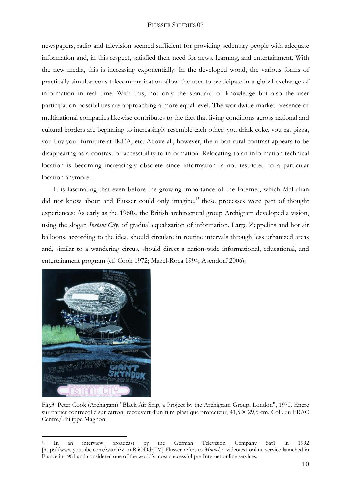newspapers, radio and television seemed sufficient for providing sedentary people with adequate information and, in this respect, satisfied their need for news, learning, and entertainment. With the new media, this is increasing exponentially. In the developed world, the various forms of practically simultaneous telecommunication allow the user to participate in a global exchange of information in real time. With this, not only the standard of knowledge but also the user participation possibilities are approaching a more equal level. The worldwide market presence of multinational companies likewise contributes to the fact that living conditions across national and cultural borders are beginning to increasingly resemble each other: you drink coke, you eat pizza, you buy your furniture at IKEA, etc. Above all, however, the urban-rural contrast appears to be disappearing as a contrast of accessibility to information. Relocating to an information-technical location is becoming increasingly obsolete since information is not restricted to a particular location anymore.

It is fascinating that even before the growing importance of the Internet, which McLuhan did not know about and Flusser could only imagine,<sup>13</sup> these processes were part of thought experiences: As early as the 1960s, the British architectural group Archigram developed a vision, using the slogan *Instant City*, of gradual equalization of information. Large Zeppelins and hot air balloons, according to the idea, should circulate in routine intervals through less urbanized areas and, similar to a wandering circus, should direct a nation-wide informational, educational, and entertainment program (cf. Cook 1972; Mazel-Roca 1994; Asendorf 2006):



Fig.3: Peter Cook (Archigram) "Black Air Ship, a Project by the Archigram Group, London", 1970. Encre sur papier contrecollé sur carton, recouvert d'un film plastique protecteur,  $41.5 \times 29.5$  cm. Coll. du FRAC Centre/Philippe Magnon

<sup>13</sup> In an interview broadcast by the German Television Company Sat1 in 1992 [http://www.youtube.com/watch?v=mRjiODdrJIM] Flusser refers to *Minitel*, a videotext online service launched in France in 1981 and considered one of the world's most successful pre-Internet online services.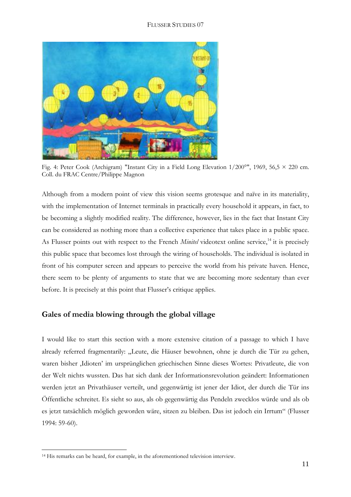

Fig. 4: Peter Cook (Archigram) "Instant City in a Field Long Elevation 1/200°", 1969, 56,5 × 220 cm. Coll. du FRAC Centre/Philippe Magnon

Although from a modern point of view this vision seems grotesque and naïve in its materiality, with the implementation of Internet terminals in practically every household it appears, in fact, to be becoming a slightly modified reality. The difference, however, lies in the fact that Instant City can be considered as nothing more than a collective experience that takes place in a public space. As Flusser points out with respect to the French *Minitel* videotext online service,<sup>14</sup> it is precisely this public space that becomes lost through the wiring of households. The individual is isolated in front of his computer screen and appears to perceive the world from his private haven. Hence, there seem to be plenty of arguments to state that we are becoming more sedentary than ever before. It is precisely at this point that Flusser's critique applies.

# **Gales of media blowing through the global village**

I would like to start this section with a more extensive citation of a passage to which I have already referred fragmentarily: "Leute, die Häuser bewohnen, ohne je durch die Tür zu gehen, waren bisher ,Idioten' im ursprünglichen griechischen Sinne dieses Wortes: Privatleute, die von der Welt nichts wussten. Das hat sich dank der Informationsrevolution geändert: Informationen werden jetzt an Privathäuser verteilt, und gegenwärtig ist jener der Idiot, der durch die Tür ins Öffentliche schreitet. Es sieht so aus, als ob gegenwärtig das Pendeln zwecklos würde und als ob es jetzt tatsächlich möglich geworden wäre, sitzen zu bleiben. Das ist jedoch ein Irrtum" (Flusser 1994: 59-60).

<sup>14</sup> His remarks can be heard, for example, in the aforementioned television interview.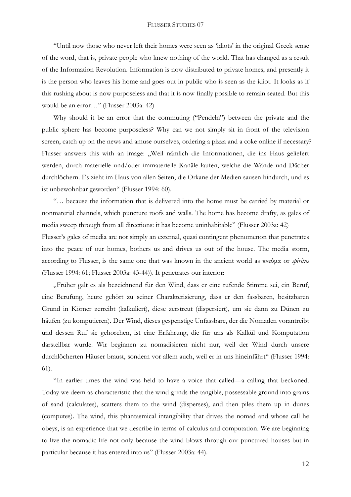"Until now those who never left their homes were seen as 'idiots' in the original Greek sense of the word, that is, private people who knew nothing of the world. That has changed as a result of the Information Revolution. Information is now distributed to private homes, and presently it is the person who leaves his home and goes out in public who is seen as the idiot. It looks as if this rushing about is now purposeless and that it is now finally possible to remain seated. But this would be an error…" (Flusser 2003a: 42)

Why should it be an error that the commuting ("Pendeln") between the private and the public sphere has become purposeless? Why can we not simply sit in front of the television screen, catch up on the news and amuse ourselves, ordering a pizza and a coke online if necessary? Flusser answers this with an image: "Weil nämlich die Informationen, die ins Haus geliefert werden, durch materielle und/oder immaterielle Kanäle laufen, welche die Wände und Dächer durchlöchern. Es zieht im Haus von allen Seiten, die Orkane der Medien sausen hindurch, und es ist unbewohnbar geworden" (Flusser 1994: 60).

"… because the information that is delivered into the home must be carried by material or nonmaterial channels, which puncture roofs and walls. The home has become drafty, as gales of media sweep through from all directions: it has become uninhabitable" (Flusser 2003a: 42)

Flusser's gales of media are not simply an external, quasi contingent phenomenon that penetrates into the peace of our homes, bothers us and drives us out of the house. The media storm, according to Flusser, is the same one that was known in the ancient world as πνεύμα or *spiritus* (Flusser 1994: 61; Flusser 2003a: 43-44)). It penetrates our interior:

"Früher galt es als bezeichnend für den Wind, dass er eine rufende Stimme sei, ein Beruf, eine Berufung, heute gehört zu seiner Charakterisierung, dass er den fassbaren, besitzbaren Grund in Körner zerreibt (kalkuliert), diese zerstreut (dispersiert), um sie dann zu Dünen zu häufen (zu komputieren). Der Wind, dieses gespenstige Unfassbare, der die Nomaden vorantreibt und dessen Ruf sie gehorchen, ist eine Erfahrung, die für uns als Kalkül und Komputation darstellbar wurde. Wir beginnen zu nomadisieren nicht nur, weil der Wind durch unsere durchlöcherten Häuser braust, sondern vor allem auch, weil er in uns hineinfährt" (Flusser 1994: 61).

"In earlier times the wind was held to have a voice that called—a calling that beckoned. Today we deem as characteristic that the wind grinds the tangible, possessable ground into grains of sand (calculates), scatters them to the wind (disperses), and then piles them up in dunes (computes). The wind, this phantasmical intangibility that drives the nomad and whose call he obeys, is an experience that we describe in terms of calculus and computation. We are beginning to live the nomadic life not only because the wind blows through our punctured houses but in particular because it has entered into us" (Flusser 2003a: 44).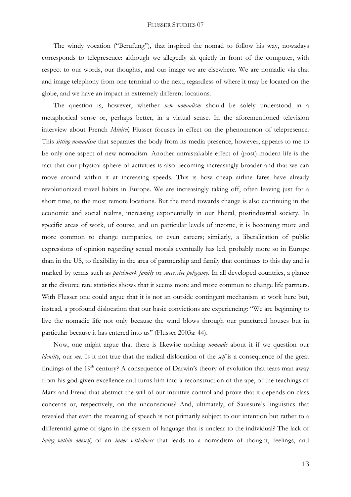The windy vocation ("Berufung"), that inspired the nomad to follow his way, nowadays corresponds to telepresence: although we allegedly sit quietly in front of the computer, with respect to our words, our thoughts, and our image we are elsewhere. We are nomadic via chat and image telephony from one terminal to the next, regardless of where it may be located on the globe, and we have an impact in extremely different locations.

The question is, however, whether *new nomadism* should be solely understood in a metaphorical sense or, perhaps better, in a virtual sense. In the aforementioned television interview about French *Minitel*, Flusser focuses in effect on the phenomenon of telepresence. This *sitting nomadism* that separates the body from its media presence, however, appears to me to be only one aspect of new nomadism. Another unmistakable effect of (post)-modern life is the fact that our physical sphere of activities is also becoming increasingly broader and that we can move around within it at increasing speeds. This is how cheap airline fares have already revolutionized travel habits in Europe. We are increasingly taking off, often leaving just for a short time, to the most remote locations. But the trend towards change is also continuing in the economic and social realms, increasing exponentially in our liberal, postindustrial society. In specific areas of work, of course, and on particular levels of income, it is becoming more and more common to change companies, or even careers; similarly, a liberalization of public expressions of opinion regarding sexual morals eventually has led, probably more so in Europe than in the US, to flexibility in the area of partnership and family that continues to this day and is marked by terms such as *patchwork family* or *successive polygamy*. In all developed countries, a glance at the divorce rate statistics shows that it seems more and more common to change life partners. With Flusser one could argue that it is not an outside contingent mechanism at work here but, instead, a profound dislocation that our basic convictions are experiencing: "We are beginning to live the nomadic life not only because the wind blows through our punctured houses but in particular because it has entered into us" (Flusser 2003a: 44).

Now, one might argue that there is likewise nothing *nomadic* about it if we question our *identity*, our *me*. Is it not true that the radical dislocation of the *self* is a consequence of the great findings of the  $19<sup>th</sup>$  century? A consequence of Darwin's theory of evolution that tears man away from his god-given excellence and turns him into a reconstruction of the ape, of the teachings of Marx and Freud that abstract the will of our intuitive control and prove that it depends on class concerns or, respectively, on the unconscious? And, ultimately, of Saussure's linguistics that revealed that even the meaning of speech is not primarily subject to our intention but rather to a differential game of signs in the system of language that is unclear to the individual? The lack of *living within oneself*, of an *inner settledness* that leads to a nomadism of thought, feelings, and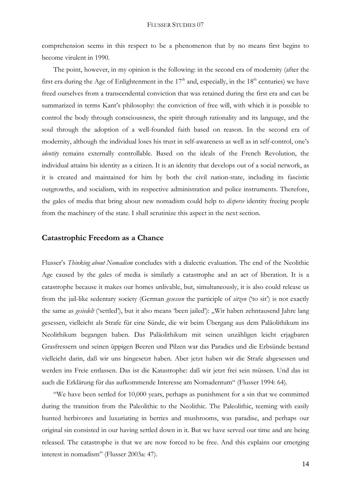comprehension seems in this respect to be a phenomenon that by no means first begins to become virulent in 1990.

The point, however, in my opinion is the following: in the second era of modernity (after the first era during the Age of Enlightenment in the  $17<sup>th</sup>$  and, especially, in the  $18<sup>th</sup>$  centuries) we have freed ourselves from a transcendental conviction that was retained during the first era and can be summarized in terms Kant's philosophy: the conviction of free will, with which it is possible to control the body through consciousness, the spirit through rationality and its language, and the soul through the adoption of a well-founded faith based on reason. In the second era of modernity, although the individual loses his trust in self-awareness as well as in self-control, one's *identity* remains externally controllable. Based on the ideals of the French Revolution, the individual attains his identity as a citizen. It is an identity that develops out of a social network, as it is created and maintained for him by both the civil nation-state, including its fascistic outgrowths, and socialism, with its respective administration and police instruments. Therefore, the gales of media that bring about new nomadism could help to *disperse* identity freeing people from the machinery of the state. I shall scrutinize this aspect in the next section.

## **Catastrophic Freedom as a Chance**

Flusser's *Thinking about Nomadism* concludes with a dialectic evaluation. The end of the Neolithic Age caused by the gales of media is similarly a catastrophe and an act of liberation. It is a catastrophe because it makes our homes unlivable, but, simultaneously, it is also could release us from the jail-like sedentary society (German *gesessen* the participle of *sitzen* ('to sit') is not exactly the same as *gesiedelt* ('settled'), but it also means 'been jailed'): "Wir haben zehntausend Jahre lang gesessen, vielleicht als Strafe für eine Sünde, die wir beim Übergang aus dem Paläolithikum ins Neolithikum begangen haben. Das Paläolithikum mit seinen unzähligen leicht erjagbaren Grasfressern und seinen üppigen Beeren und Pilzen war das Paradies und die Erbsünde bestand vielleicht darin, daß wir uns hingesetzt haben. Aber jetzt haben wir die Strafe abgesessen und werden ins Freie entlassen. Das ist die Katastrophe: daß wir jetzt frei sein müssen. Und das ist auch die Erklärung für das aufkommende Interesse am Nomadentum" (Flusser 1994: 64).

"We have been settled for 10,000 years, perhaps as punishment for a sin that we committed during the transition from the Paleolithic to the Neolithic. The Paleolithic, teeming with easily hunted herbivores and luxuriating in berries and mushrooms, was paradise, and perhaps our original sin consisted in our having settled down in it. But we have served our time and are being released. The catastrophe is that we are now forced to be free. And this explains our emerging interest in nomadism" (Flusser 2003a: 47).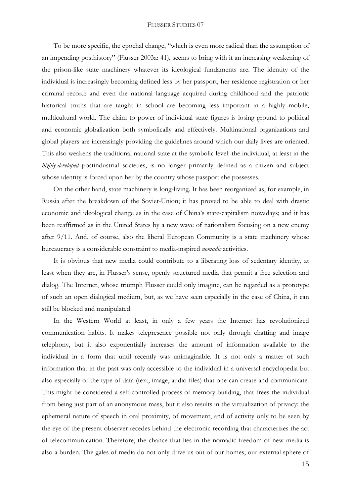To be more specific, the epochal change, "which is even more radical than the assumption of an impending posthistory" (Flusser 2003a: 41), seems to bring with it an increasing weakening of the prison-like state machinery whatever its ideological fundaments are. The identity of the individual is increasingly becoming defined less by her passport, her residence registration or her criminal record: and even the national language acquired during childhood and the patriotic historical truths that are taught in school are becoming less important in a highly mobile, multicultural world. The claim to power of individual state figures is losing ground to political and economic globalization both symbolically and effectively. Multinational organizations and global players are increasingly providing the guidelines around which our daily lives are oriented. This also weakens the traditional national state at the symbolic level: the individual, at least in the *highly-developed* postindustrial societies, is no longer primarily defined as a citizen and subject whose identity is forced upon her by the country whose passport she possesses.

On the other hand, state machinery is long-living. It has been reorganized as, for example, in Russia after the breakdown of the Soviet-Union; it has proved to be able to deal with drastic economic and ideological change as in the case of China's state-capitalism nowadays; and it has been reaffirmed as in the United States by a new wave of nationalism focusing on a new enemy after 9/11. And, of course, also the liberal European Community is a state machinery whose bureaucracy is a considerable constraint to media-inspired *nomadic* activities.

It is obvious that new media could contribute to a liberating loss of sedentary identity, at least when they are, in Flusser's sense, openly structured media that permit a free selection and dialog. The Internet, whose triumph Flusser could only imagine, can be regarded as a prototype of such an open dialogical medium, but, as we have seen especially in the case of China, it can still be blocked and manipulated.

In the Western World at least, in only a few years the Internet has revolutionized communication habits. It makes telepresence possible not only through chatting and image telephony, but it also exponentially increases the amount of information available to the individual in a form that until recently was unimaginable. It is not only a matter of such information that in the past was only accessible to the individual in a universal encyclopedia but also especially of the type of data (text, image, audio files) that one can create and communicate. This might be considered a self-controlled process of memory building, that frees the individual from being just part of an anonymous mass, but it also results in the virtualization of privacy: the ephemeral nature of speech in oral proximity, of movement, and of activity only to be seen by the eye of the present observer recedes behind the electronic recording that characterizes the act of telecommunication. Therefore, the chance that lies in the nomadic freedom of new media is also a burden. The gales of media do not only drive us out of our homes, our external sphere of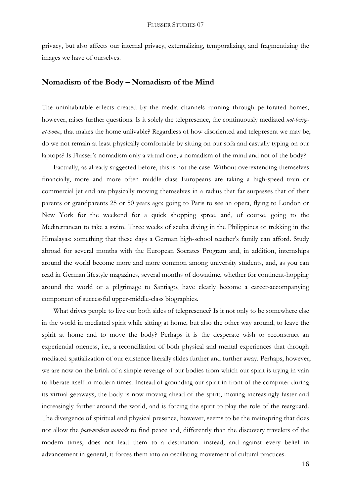privacy, but also affects our internal privacy, externalizing, temporalizing, and fragmentizing the images we have of ourselves.

## **Nomadism of the Body – Nomadism of the Mind**

The uninhabitable effects created by the media channels running through perforated homes, however, raises further questions. Is it solely the telepresence, the continuously mediated *not-beingat-home*, that makes the home unlivable? Regardless of how disoriented and telepresent we may be, do we not remain at least physically comfortable by sitting on our sofa and casually typing on our laptops? Is Flusser's nomadism only a virtual one; a nomadism of the mind and not of the body?

Factually, as already suggested before, this is not the case: Without overextending themselves financially, more and more often middle class Europeans are taking a high-speed train or commercial jet and are physically moving themselves in a radius that far surpasses that of their parents or grandparents 25 or 50 years ago: going to Paris to see an opera, flying to London or New York for the weekend for a quick shopping spree, and, of course, going to the Mediterranean to take a swim. Three weeks of scuba diving in the Philippines or trekking in the Himalayas: something that these days a German high-school teacher's family can afford. Study abroad for several months with the European Socrates Program and, in addition, internships around the world become more and more common among university students, and, as you can read in German lifestyle magazines, several months of downtime, whether for continent-hopping around the world or a pilgrimage to Santiago, have clearly become a career-accompanying component of successful upper-middle-class biographies.

What drives people to live out both sides of telepresence? Is it not only to be somewhere else in the world in mediated spirit while sitting at home, but also the other way around, to leave the spirit at home and to move the body? Perhaps it is the desperate wish to reconstruct an experiential oneness, i.e., a reconciliation of both physical and mental experiences that through mediated spatialization of our existence literally slides further and further away. Perhaps, however, we are now on the brink of a simple revenge of our bodies from which our spirit is trying in vain to liberate itself in modern times. Instead of grounding our spirit in front of the computer during its virtual getaways, the body is now moving ahead of the spirit, moving increasingly faster and increasingly farther around the world, and is forcing the spirit to play the role of the rearguard. The divergence of spiritual and physical presence, however, seems to be the mainspring that does not allow the *post-modern nomads* to find peace and, differently than the discovery travelers of the modern times, does not lead them to a destination: instead, and against every belief in advancement in general, it forces them into an oscillating movement of cultural practices.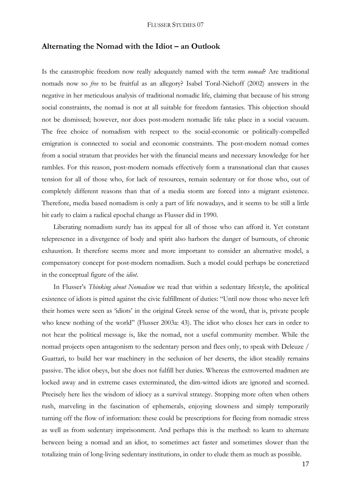## **Alternating the Nomad with the Idiot – an Outlook**

Is the catastrophic freedom now really adequately named with the term *nomad*? Are traditional nomads now so *free* to be fruitful as an allegory? Isabel Toral-Niehoff (2002) answers in the negative in her meticulous analysis of traditional nomadic life, claiming that because of his strong social constraints, the nomad is not at all suitable for freedom fantasies. This objection should not be dismissed; however, nor does post-modern nomadic life take place in a social vacuum. The free choice of nomadism with respect to the social-economic or politically-compelled emigration is connected to social and economic constraints. The post-modern nomad comes from a social stratum that provides her with the financial means and necessary knowledge for her rambles. For this reason, post-modern nomads effectively form a transnational clan that causes tension for all of those who, for lack of resources, remain sedentary or for those who, out of completely different reasons than that of a media storm are forced into a migrant existence. Therefore, media based nomadism is only a part of life nowadays, and it seems to be still a little bit early to claim a radical epochal change as Flusser did in 1990.

Liberating nomadism surely has its appeal for all of those who can afford it. Yet constant telepresence in a divergence of body and spirit also harbors the danger of burnouts, of chronic exhaustion. It therefore seems more and more important to consider an alternative model, a compensatory concept for post-modern nomadism. Such a model could perhaps be concretized in the conceptual figure of the *idiot*.

In Flusser's *Thinking about Nomadism* we read that within a sedentary lifestyle, the apolitical existence of idiots is pitted against the civic fulfillment of duties: "Until now those who never left their homes were seen as 'idiots' in the original Greek sense of the word, that is, private people who knew nothing of the world" (Flusser 2003a: 43). The idiot who closes her ears in order to not hear the political message is, like the nomad, not a useful community member. While the nomad projects open antagonism to the sedentary person and flees only, to speak with Deleuze / Guattari, to build her war machinery in the seclusion of her deserts, the idiot steadily remains passive. The idiot obeys, but she does not fulfill her duties. Whereas the extroverted madmen are locked away and in extreme cases exterminated, the dim-witted idiots are ignored and scorned. Precisely here lies the wisdom of idiocy as a survival strategy. Stopping more often when others rush, marveling in the fascination of ephemerals, enjoying slowness and simply temporarily turning off the flow of information: these could be prescriptions for fleeing from nomadic stress as well as from sedentary imprisonment. And perhaps this is the method: to learn to alternate between being a nomad and an idiot, to sometimes act faster and sometimes slower than the totalizing train of long-living sedentary institutions, in order to elude them as much as possible.